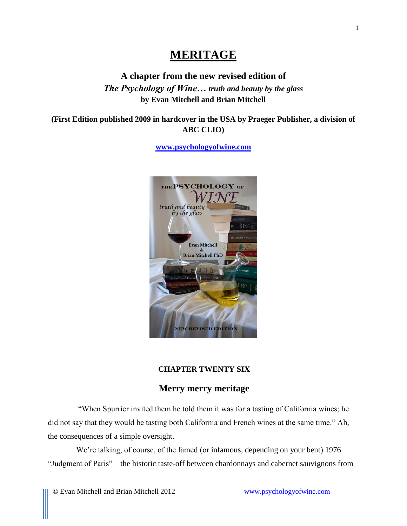## **MERITAGE**

**A chapter from the new revised edition of** *The Psychology of Wine… truth and beauty by the glass* **by Evan Mitchell and Brian Mitchell**

**(First Edition published 2009 in hardcover in the USA by Praeger Publisher, a division of ABC CLIO)**



**[www.psychologyofwine.com](http://www.psychologyofwine.com/)**

#### **CHAPTER TWENTY SIX**

## **Merry merry meritage**

"When Spurrier invited them he told them it was for a tasting of California wines; he did not say that they would be tasting both California and French wines at the same time." Ah, the consequences of a simple oversight.

We're talking, of course, of the famed (or infamous, depending on your bent) 1976 "Judgment of Paris" – the historic taste-off between chardonnays and cabernet sauvignons from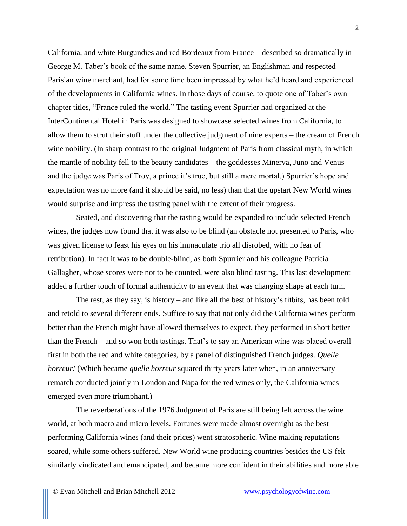California, and white Burgundies and red Bordeaux from France – described so dramatically in George M. Taber's book of the same name. Steven Spurrier, an Englishman and respected Parisian wine merchant, had for some time been impressed by what he'd heard and experienced of the developments in California wines. In those days of course, to quote one of Taber's own chapter titles, "France ruled the world." The tasting event Spurrier had organized at the InterContinental Hotel in Paris was designed to showcase selected wines from California, to allow them to strut their stuff under the collective judgment of nine experts – the cream of French wine nobility. (In sharp contrast to the original Judgment of Paris from classical myth, in which the mantle of nobility fell to the beauty candidates – the goddesses Minerva, Juno and Venus – and the judge was Paris of Troy, a prince it's true, but still a mere mortal.) Spurrier's hope and expectation was no more (and it should be said, no less) than that the upstart New World wines would surprise and impress the tasting panel with the extent of their progress.

Seated, and discovering that the tasting would be expanded to include selected French wines, the judges now found that it was also to be blind (an obstacle not presented to Paris, who was given license to feast his eyes on his immaculate trio all disrobed, with no fear of retribution). In fact it was to be double-blind, as both Spurrier and his colleague Patricia Gallagher, whose scores were not to be counted, were also blind tasting. This last development added a further touch of formal authenticity to an event that was changing shape at each turn.

The rest, as they say, is history – and like all the best of history's titbits, has been told and retold to several different ends. Suffice to say that not only did the California wines perform better than the French might have allowed themselves to expect, they performed in short better than the French – and so won both tastings. That's to say an American wine was placed overall first in both the red and white categories, by a panel of distinguished French judges. *Quelle horreur!* (Which became *quelle horreur* squared thirty years later when, in an anniversary rematch conducted jointly in London and Napa for the red wines only, the California wines emerged even more triumphant.)

The reverberations of the 1976 Judgment of Paris are still being felt across the wine world, at both macro and micro levels. Fortunes were made almost overnight as the best performing California wines (and their prices) went stratospheric. Wine making reputations soared, while some others suffered. New World wine producing countries besides the US felt similarly vindicated and emancipated, and became more confident in their abilities and more able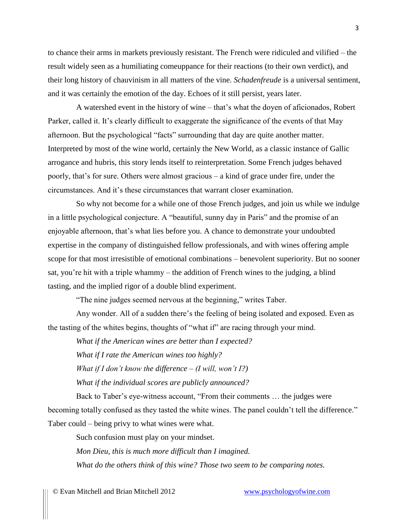to chance their arms in markets previously resistant. The French were ridiculed and vilified – the result widely seen as a humiliating comeuppance for their reactions (to their own verdict), and their long history of chauvinism in all matters of the vine. *Schadenfreude* is a universal sentiment, and it was certainly the emotion of the day. Echoes of it still persist, years later.

A watershed event in the history of wine – that's what the doyen of aficionados, Robert Parker, called it. It's clearly difficult to exaggerate the significance of the events of that May afternoon. But the psychological "facts" surrounding that day are quite another matter. Interpreted by most of the wine world, certainly the New World, as a classic instance of Gallic arrogance and hubris, this story lends itself to reinterpretation. Some French judges behaved poorly, that's for sure. Others were almost gracious – a kind of grace under fire, under the circumstances. And it's these circumstances that warrant closer examination.

So why not become for a while one of those French judges, and join us while we indulge in a little psychological conjecture. A "beautiful, sunny day in Paris" and the promise of an enjoyable afternoon, that's what lies before you. A chance to demonstrate your undoubted expertise in the company of distinguished fellow professionals, and with wines offering ample scope for that most irresistible of emotional combinations – benevolent superiority. But no sooner sat, you're hit with a triple whammy – the addition of French wines to the judging, a blind tasting, and the implied rigor of a double blind experiment.

"The nine judges seemed nervous at the beginning," writes Taber.

Any wonder. All of a sudden there's the feeling of being isolated and exposed. Even as the tasting of the whites begins, thoughts of "what if" are racing through your mind.

*What if the American wines are better than I expected? What if I rate the American wines too highly? What if I don't know the difference – (I will, won't I?) What if the individual scores are publicly announced?*

Back to Taber's eye-witness account, "From their comments … the judges were becoming totally confused as they tasted the white wines. The panel couldn't tell the difference." Taber could – being privy to what wines were what.

Such confusion must play on your mindset.

*Mon Dieu, this is much more difficult than I imagined. What do the others think of this wine? Those two seem to be comparing notes.*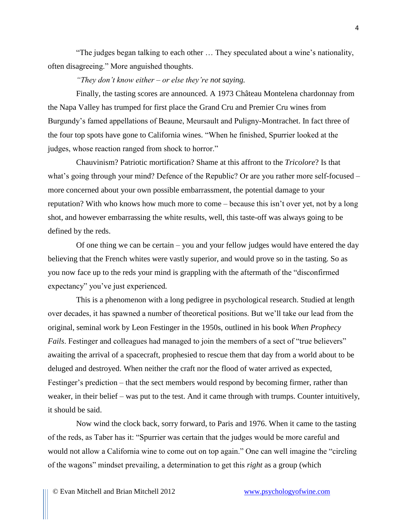"The judges began talking to each other … They speculated about a wine's nationality, often disagreeing." More anguished thoughts.

*"They don't know either – or else they're not saying.*

Finally, the tasting scores are announced. A 1973 Château Montelena chardonnay from the Napa Valley has trumped for first place the Grand Cru and Premier Cru wines from Burgundy's famed appellations of Beaune, Meursault and Puligny-Montrachet. In fact three of the four top spots have gone to California wines. "When he finished, Spurrier looked at the judges, whose reaction ranged from shock to horror."

Chauvinism? Patriotic mortification? Shame at this affront to the *Tricolore*? Is that what's going through your mind? Defence of the Republic? Or are you rather more self-focused – more concerned about your own possible embarrassment, the potential damage to your reputation? With who knows how much more to come – because this isn't over yet, not by a long shot, and however embarrassing the white results, well, this taste-off was always going to be defined by the reds.

Of one thing we can be certain – you and your fellow judges would have entered the day believing that the French whites were vastly superior, and would prove so in the tasting. So as you now face up to the reds your mind is grappling with the aftermath of the "disconfirmed expectancy" you've just experienced*.*

This is a phenomenon with a long pedigree in psychological research. Studied at length over decades, it has spawned a number of theoretical positions. But we'll take our lead from the original, seminal work by Leon Festinger in the 1950s, outlined in his book *When Prophecy Fails*. Festinger and colleagues had managed to join the members of a sect of "true believers" awaiting the arrival of a spacecraft, prophesied to rescue them that day from a world about to be deluged and destroyed. When neither the craft nor the flood of water arrived as expected, Festinger's prediction – that the sect members would respond by becoming firmer, rather than weaker, in their belief – was put to the test. And it came through with trumps. Counter intuitively, it should be said.

Now wind the clock back, sorry forward, to Paris and 1976. When it came to the tasting of the reds, as Taber has it: "Spurrier was certain that the judges would be more careful and would not allow a California wine to come out on top again." One can well imagine the "circling of the wagons" mindset prevailing, a determination to get this *right* as a group (which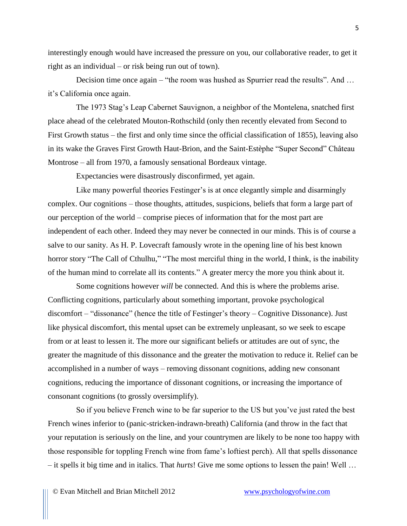interestingly enough would have increased the pressure on you, our collaborative reader, to get it right as an individual – or risk being run out of town).

Decision time once again – "the room was hushed as Spurrier read the results". And … it's California once again.

The 1973 Stag's Leap Cabernet Sauvignon, a neighbor of the Montelena, snatched first place ahead of the celebrated Mouton-Rothschild (only then recently elevated from Second to First Growth status – the first and only time since the official classification of 1855), leaving also in its wake the Graves First Growth Haut-Brion, and the Saint-Estèphe "Super Second" Château Montrose – all from 1970, a famously sensational Bordeaux vintage.

Expectancies were disastrously disconfirmed, yet again.

Like many powerful theories Festinger's is at once elegantly simple and disarmingly complex. Our cognitions – those thoughts, attitudes, suspicions, beliefs that form a large part of our perception of the world – comprise pieces of information that for the most part are independent of each other. Indeed they may never be connected in our minds. This is of course a salve to our sanity. As H. P. Lovecraft famously wrote in the opening line of his best known horror story "The Call of Cthulhu," "The most merciful thing in the world, I think, is the inability of the human mind to correlate all its contents." A greater mercy the more you think about it.

Some cognitions however *will* be connected. And this is where the problems arise. Conflicting cognitions, particularly about something important, provoke psychological discomfort – "dissonance" (hence the title of Festinger's theory – Cognitive Dissonance). Just like physical discomfort, this mental upset can be extremely unpleasant, so we seek to escape from or at least to lessen it. The more our significant beliefs or attitudes are out of sync, the greater the magnitude of this dissonance and the greater the motivation to reduce it. Relief can be accomplished in a number of ways – removing dissonant cognitions, adding new consonant cognitions, reducing the importance of dissonant cognitions, or increasing the importance of consonant cognitions (to grossly oversimplify).

So if you believe French wine to be far superior to the US but you've just rated the best French wines inferior to (panic-stricken-indrawn-breath) California (and throw in the fact that your reputation is seriously on the line, and your countrymen are likely to be none too happy with those responsible for toppling French wine from fame's loftiest perch). All that spells dissonance – it spells it big time and in italics. That *hurts*! Give me some options to lessen the pain! Well …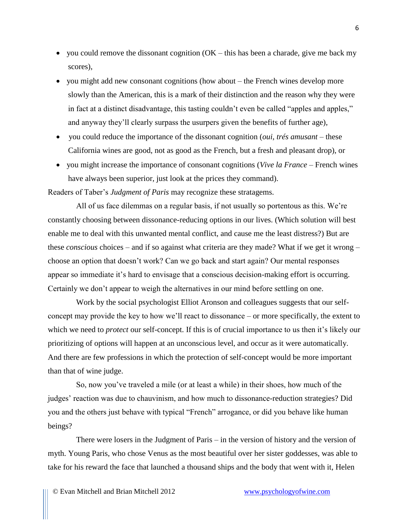- you could remove the dissonant cognition  $(OK this has been a character, give me back my)$ scores),
- you might add new consonant cognitions (how about the French wines develop more slowly than the American, this is a mark of their distinction and the reason why they were in fact at a distinct disadvantage, this tasting couldn't even be called "apples and apples," and anyway they'll clearly surpass the usurpers given the benefits of further age),
- you could reduce the importance of the dissonant cognition (*oui*, *trés amusant* these California wines are good, not as good as the French, but a fresh and pleasant drop), or
- you might increase the importance of consonant cognitions (*Vive la France* French wines have always been superior, just look at the prices they command).

Readers of Taber's *Judgment of Paris* may recognize these stratagems.

All of us face dilemmas on a regular basis, if not usually so portentous as this. We're constantly choosing between dissonance-reducing options in our lives. (Which solution will best enable me to deal with this unwanted mental conflict, and cause me the least distress?) But are these *conscious* choices – and if so against what criteria are they made? What if we get it wrong – choose an option that doesn't work? Can we go back and start again? Our mental responses appear so immediate it's hard to envisage that a conscious decision-making effort is occurring. Certainly we don't appear to weigh the alternatives in our mind before settling on one.

Work by the social psychologist Elliot Aronson and colleagues suggests that our selfconcept may provide the key to how we'll react to dissonance – or more specifically, the extent to which we need to *protect* our self-concept. If this is of crucial importance to us then it's likely our prioritizing of options will happen at an unconscious level, and occur as it were automatically. And there are few professions in which the protection of self-concept would be more important than that of wine judge.

So, now you've traveled a mile (or at least a while) in their shoes, how much of the judges' reaction was due to chauvinism, and how much to dissonance-reduction strategies? Did you and the others just behave with typical "French" arrogance, or did you behave like human beings?

There were losers in the Judgment of Paris – in the version of history and the version of myth. Young Paris, who chose Venus as the most beautiful over her sister goddesses, was able to take for his reward the face that launched a thousand ships and the body that went with it, Helen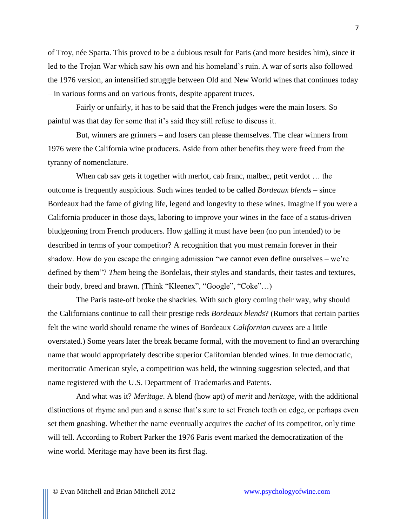of Troy, née Sparta. This proved to be a dubious result for Paris (and more besides him), since it led to the Trojan War which saw his own and his homeland's ruin. A war of sorts also followed the 1976 version, an intensified struggle between Old and New World wines that continues today – in various forms and on various fronts, despite apparent truces.

Fairly or unfairly, it has to be said that the French judges were the main losers. So painful was that day for some that it's said they still refuse to discuss it.

But, winners are grinners – and losers can please themselves. The clear winners from 1976 were the California wine producers. Aside from other benefits they were freed from the tyranny of nomenclature.

When cab sav gets it together with merlot, cab franc, malbec, petit verdot … the outcome is frequently auspicious. Such wines tended to be called *Bordeaux blends* – since Bordeaux had the fame of giving life, legend and longevity to these wines. Imagine if you were a California producer in those days, laboring to improve your wines in the face of a status-driven bludgeoning from French producers. How galling it must have been (no pun intended) to be described in terms of your competitor? A recognition that you must remain forever in their shadow. How do you escape the cringing admission "we cannot even define ourselves – we're defined by them"? *Them* being the Bordelais, their styles and standards, their tastes and textures, their body, breed and brawn. (Think "Kleenex", "Google", "Coke"…)

The Paris taste-off broke the shackles. With such glory coming their way, why should the Californians continue to call their prestige reds *Bordeaux blends*? (Rumors that certain parties felt the wine world should rename the wines of Bordeaux *Californian cuvees* are a little overstated.) Some years later the break became formal, with the movement to find an overarching name that would appropriately describe superior Californian blended wines. In true democratic, meritocratic American style, a competition was held, the winning suggestion selected, and that name registered with the U.S. Department of Trademarks and Patents.

And what was it? *Meritage*. A blend (how apt) of *merit* and *heritage*, with the additional distinctions of rhyme and pun and a sense that's sure to set French teeth on edge, or perhaps even set them gnashing. Whether the name eventually acquires the *cachet* of its competitor, only time will tell. According to Robert Parker the 1976 Paris event marked the democratization of the wine world. Meritage may have been its first flag.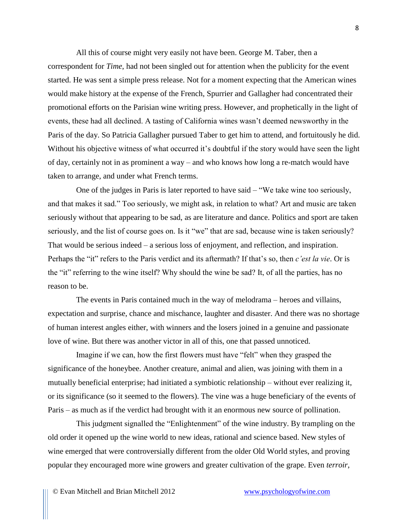All this of course might very easily not have been. George M. Taber, then a correspondent for *Time*, had not been singled out for attention when the publicity for the event started. He was sent a simple press release. Not for a moment expecting that the American wines would make history at the expense of the French, Spurrier and Gallagher had concentrated their promotional efforts on the Parisian wine writing press. However, and prophetically in the light of events, these had all declined. A tasting of California wines wasn't deemed newsworthy in the Paris of the day. So Patricia Gallagher pursued Taber to get him to attend, and fortuitously he did. Without his objective witness of what occurred it's doubtful if the story would have seen the light of day, certainly not in as prominent a way – and who knows how long a re-match would have taken to arrange, and under what French terms.

One of the judges in Paris is later reported to have said – "We take wine too seriously, and that makes it sad." Too seriously, we might ask, in relation to what? Art and music are taken seriously without that appearing to be sad, as are literature and dance. Politics and sport are taken seriously, and the list of course goes on. Is it "we" that are sad, because wine is taken seriously? That would be serious indeed – a serious loss of enjoyment, and reflection, and inspiration. Perhaps the "it" refers to the Paris verdict and its aftermath? If that's so, then *c'est la vie*. Or is the "it" referring to the wine itself? Why should the wine be sad? It, of all the parties, has no reason to be.

The events in Paris contained much in the way of melodrama – heroes and villains, expectation and surprise, chance and mischance, laughter and disaster. And there was no shortage of human interest angles either, with winners and the losers joined in a genuine and passionate love of wine. But there was another victor in all of this, one that passed unnoticed.

Imagine if we can, how the first flowers must have "felt" when they grasped the significance of the honeybee. Another creature, animal and alien, was joining with them in a mutually beneficial enterprise; had initiated a symbiotic relationship – without ever realizing it, or its significance (so it seemed to the flowers). The vine was a huge beneficiary of the events of Paris – as much as if the verdict had brought with it an enormous new source of pollination.

This judgment signalled the "Enlightenment" of the wine industry. By trampling on the old order it opened up the wine world to new ideas, rational and science based. New styles of wine emerged that were controversially different from the older Old World styles, and proving popular they encouraged more wine growers and greater cultivation of the grape. Even *terroir*,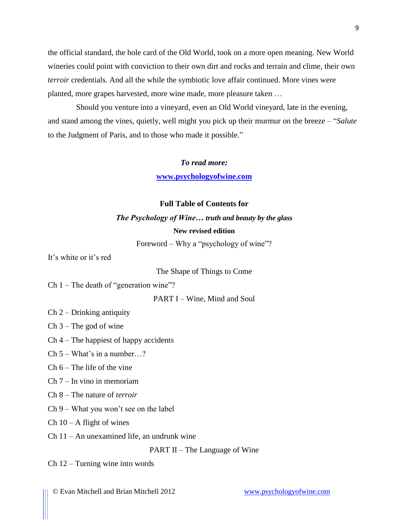the official standard, the hole card of the Old World, took on a more open meaning. New World wineries could point with conviction to their own dirt and rocks and terrain and clime, their own *terroir* credentials. And all the while the symbiotic love affair continued. More vines were planted, more grapes harvested, more wine made, more pleasure taken …

Should you venture into a vineyard, even an Old World vineyard, late in the evening, and stand among the vines, quietly, well might you pick up their murmur on the breeze – "*Salute*  to the Judgment of Paris, and to those who made it possible."

## *To read more:*

**[www.psychologyofwine.com](http://www.psychologyofwine.com/)**

#### **Full Table of Contents for**

# *The Psychology of Wine… truth and beauty by the glass* **New revised edition**

Foreword – Why a "psychology of wine"?

It's white or it's red

The Shape of Things to Come

Ch  $1$  – The death of "generation wine"?

PART I – Wine, Mind and Soul

- $Ch 2 Drinking antiquity$
- $Ch 3$  The god of wine
- $Ch$  4 The happiest of happy accidents
- Ch  $5 What's in a number...?$
- $Ch 6$  The life of the vine
- Ch 7 In vino in memoriam
- Ch 8 The nature of *terroir*
- Ch 9 What you won't see on the label
- Ch  $10 A$  flight of wines
- Ch 11 An unexamined life, an undrunk wine

PART II – The Language of Wine

Ch 12 – Turning wine into words

© Evan Mitchell and Brian Mitchell 2012 [www.psychologyofwine.com](http://www.psychologyofwine.com/)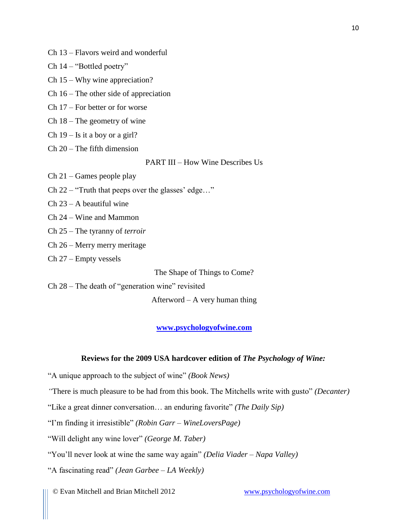Ch 13 – Flavors weird and wonderful

Ch 14 – "Bottled poetry"

Ch 15 – Why wine appreciation?

Ch 16 – The other side of appreciation

Ch 17 – For better or for worse

 $Ch 18$  – The geometry of wine

Ch  $19$  – Is it a boy or a girl?

 $Ch 20$  – The fifth dimension

PART III – How Wine Describes Us

Ch 21 – Games people play

Ch 22 – "Truth that peeps over the glasses' edge…"

Ch 23 – A beautiful wine

Ch 24 – Wine and Mammon

Ch 25 – The tyranny of *terroir*

Ch 26 – Merry merry meritage

Ch 27 – Empty vessels

The Shape of Things to Come?

Ch 28 – The death of "generation wine" revisited

Afterword – A very human thing

**[www.psychologyofwine.com](http://www.psychologyofwine.com/)**

#### **Reviews for the 2009 USA hardcover edition of** *The Psychology of Wine:*

"A unique approach to the subject of wine" *(Book News)*

*"*There is much pleasure to be had from this book. The Mitchells write with gusto" *(Decanter)*

"Like a great dinner conversation… an enduring favorite" *(The Daily Sip)*

"I'm finding it irresistible" *(Robin Garr – WineLoversPage)*

"Will delight any wine lover" *(George M. Taber)*

"You'll never look at wine the same way again" *(Delia Viader – Napa Valley)*

"A fascinating read" *(Jean Garbee – LA Weekly)*

© Evan Mitchell and Brian Mitchell 2012 [www.psychologyofwine.com](http://www.psychologyofwine.com/)